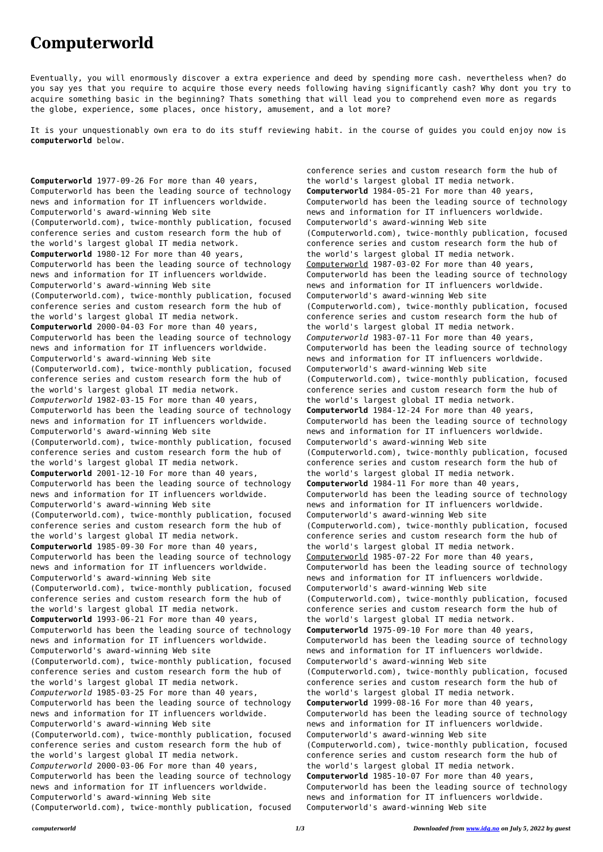## **Computerworld**

Eventually, you will enormously discover a extra experience and deed by spending more cash. nevertheless when? do you say yes that you require to acquire those every needs following having significantly cash? Why dont you try to acquire something basic in the beginning? Thats something that will lead you to comprehend even more as regards the globe, experience, some places, once history, amusement, and a lot more?

It is your unquestionably own era to do its stuff reviewing habit. in the course of guides you could enjoy now is **computerworld** below.

**Computerworld** 1977-09-26 For more than 40 years, Computerworld has been the leading source of technology news and information for IT influencers worldwide. Computerworld's award-winning Web site (Computerworld.com), twice-monthly publication, focused conference series and custom research form the hub of the world's largest global IT media network. **Computerworld** 1980-12 For more than 40 years, Computerworld has been the leading source of technology news and information for IT influencers worldwide. Computerworld's award-winning Web site (Computerworld.com), twice-monthly publication, focused conference series and custom research form the hub of the world's largest global IT media network. **Computerworld** 2000-04-03 For more than 40 years, Computerworld has been the leading source of technology news and information for IT influencers worldwide. Computerworld's award-winning Web site (Computerworld.com), twice-monthly publication, focused conference series and custom research form the hub of the world's largest global IT media network. *Computerworld* 1982-03-15 For more than 40 years, Computerworld has been the leading source of technology news and information for IT influencers worldwide. Computerworld's award-winning Web site (Computerworld.com), twice-monthly publication, focused conference series and custom research form the hub of the world's largest global IT media network. **Computerworld** 2001-12-10 For more than 40 years, Computerworld has been the leading source of technology news and information for IT influencers worldwide. Computerworld's award-winning Web site (Computerworld.com), twice-monthly publication, focused conference series and custom research form the hub of the world's largest global IT media network. **Computerworld** 1985-09-30 For more than 40 years, Computerworld has been the leading source of technology news and information for IT influencers worldwide. Computerworld's award-winning Web site (Computerworld.com), twice-monthly publication, focused conference series and custom research form the hub of the world's largest global IT media network. **Computerworld** 1993-06-21 For more than 40 years, Computerworld has been the leading source of technology news and information for IT influencers worldwide. Computerworld's award-winning Web site (Computerworld.com), twice-monthly publication, focused conference series and custom research form the hub of the world's largest global IT media network. *Computerworld* 1985-03-25 For more than 40 years, Computerworld has been the leading source of technology news and information for IT influencers worldwide. Computerworld's award-winning Web site (Computerworld.com), twice-monthly publication, focused conference series and custom research form the hub of the world's largest global IT media network. *Computerworld* 2000-03-06 For more than 40 years, Computerworld has been the leading source of technology news and information for IT influencers worldwide. Computerworld's award-winning Web site (Computerworld.com), twice-monthly publication, focused

conference series and custom research form the hub of the world's largest global IT media network. **Computerworld** 1984-05-21 For more than 40 years, Computerworld has been the leading source of technology news and information for IT influencers worldwide. Computerworld's award-winning Web site (Computerworld.com), twice-monthly publication, focused conference series and custom research form the hub of the world's largest global IT media network. Computerworld 1987-03-02 For more than 40 years, Computerworld has been the leading source of technology news and information for IT influencers worldwide. Computerworld's award-winning Web site (Computerworld.com), twice-monthly publication, focused conference series and custom research form the hub of the world's largest global IT media network. *Computerworld* 1983-07-11 For more than 40 years, Computerworld has been the leading source of technology news and information for IT influencers worldwide. Computerworld's award-winning Web site (Computerworld.com), twice-monthly publication, focused conference series and custom research form the hub of the world's largest global IT media network. **Computerworld** 1984-12-24 For more than 40 years, Computerworld has been the leading source of technology news and information for IT influencers worldwide. Computerworld's award-winning Web site (Computerworld.com), twice-monthly publication, focused conference series and custom research form the hub of the world's largest global IT media network. **Computerworld** 1984-11 For more than 40 years, Computerworld has been the leading source of technology news and information for IT influencers worldwide. Computerworld's award-winning Web site (Computerworld.com), twice-monthly publication, focused conference series and custom research form the hub of the world's largest global IT media network. Computerworld 1985-07-22 For more than 40 years, Computerworld has been the leading source of technology news and information for IT influencers worldwide. Computerworld's award-winning Web site (Computerworld.com), twice-monthly publication, focused conference series and custom research form the hub of the world's largest global IT media network. **Computerworld** 1975-09-10 For more than 40 years, Computerworld has been the leading source of technology news and information for IT influencers worldwide. Computerworld's award-winning Web site (Computerworld.com), twice-monthly publication, focused conference series and custom research form the hub of the world's largest global IT media network. **Computerworld** 1999-08-16 For more than 40 years, Computerworld has been the leading source of technology news and information for IT influencers worldwide. Computerworld's award-winning Web site (Computerworld.com), twice-monthly publication, focused conference series and custom research form the hub of the world's largest global IT media network. **Computerworld** 1985-10-07 For more than 40 years, Computerworld has been the leading source of technology news and information for IT influencers worldwide. Computerworld's award-winning Web site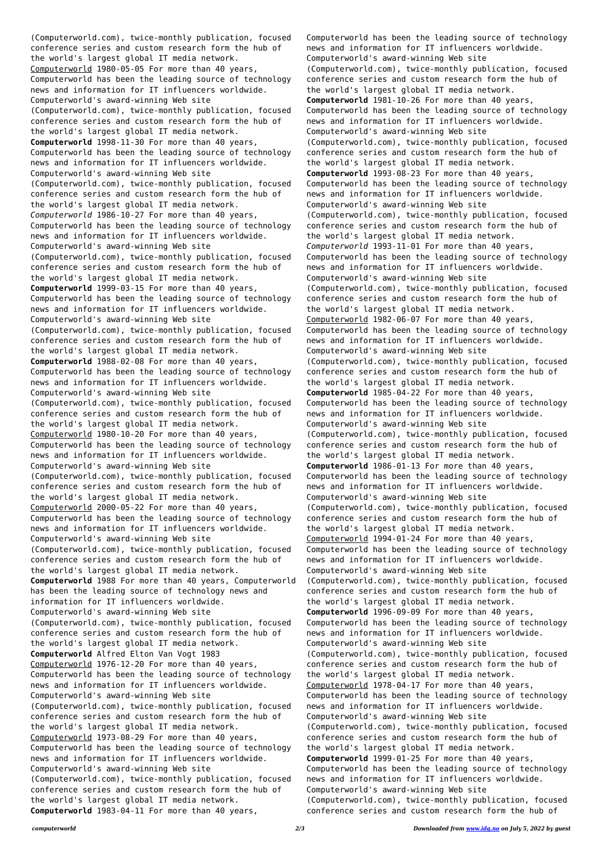(Computerworld.com), twice-monthly publication, focused conference series and custom research form the hub of the world's largest global IT media network. Computerworld 1980-05-05 For more than 40 years, Computerworld has been the leading source of technology news and information for IT influencers worldwide. Computerworld's award-winning Web site (Computerworld.com), twice-monthly publication, focused conference series and custom research form the hub of the world's largest global IT media network. **Computerworld** 1998-11-30 For more than 40 years, Computerworld has been the leading source of technology news and information for IT influencers worldwide. Computerworld's award-winning Web site (Computerworld.com), twice-monthly publication, focused conference series and custom research form the hub of the world's largest global IT media network. *Computerworld* 1986-10-27 For more than 40 years, Computerworld has been the leading source of technology news and information for IT influencers worldwide. Computerworld's award-winning Web site (Computerworld.com), twice-monthly publication, focused conference series and custom research form the hub of the world's largest global IT media network. **Computerworld** 1999-03-15 For more than 40 years, Computerworld has been the leading source of technology news and information for IT influencers worldwide. Computerworld's award-winning Web site (Computerworld.com), twice-monthly publication, focused conference series and custom research form the hub of the world's largest global IT media network. **Computerworld** 1988-02-08 For more than 40 years, Computerworld has been the leading source of technology news and information for IT influencers worldwide. Computerworld's award-winning Web site (Computerworld.com), twice-monthly publication, focused conference series and custom research form the hub of the world's largest global IT media network. Computerworld 1980-10-20 For more than 40 years, Computerworld has been the leading source of technology news and information for IT influencers worldwide. Computerworld's award-winning Web site (Computerworld.com), twice-monthly publication, focused conference series and custom research form the hub of the world's largest global IT media network. Computerworld 2000-05-22 For more than 40 years, Computerworld has been the leading source of technology news and information for IT influencers worldwide. Computerworld's award-winning Web site (Computerworld.com), twice-monthly publication, focused conference series and custom research form the hub of the world's largest global IT media network. **Computerworld** 1988 For more than 40 years, Computerworld has been the leading source of technology news and information for IT influencers worldwide. Computerworld's award-winning Web site (Computerworld.com), twice-monthly publication, focused conference series and custom research form the hub of the world's largest global IT media network. **Computerworld** Alfred Elton Van Vogt 1983 Computerworld 1976-12-20 For more than 40 years, Computerworld has been the leading source of technology news and information for IT influencers worldwide. Computerworld's award-winning Web site (Computerworld.com), twice-monthly publication, focused conference series and custom research form the hub of the world's largest global IT media network. Computerworld 1973-08-29 For more than 40 years, Computerworld has been the leading source of technology news and information for IT influencers worldwide. Computerworld's award-winning Web site (Computerworld.com), twice-monthly publication, focused conference series and custom research form the hub of the world's largest global IT media network. **Computerworld** 1983-04-11 For more than 40 years,

Computerworld has been the leading source of technology news and information for IT influencers worldwide. Computerworld's award-winning Web site (Computerworld.com), twice-monthly publication, focused conference series and custom research form the hub of the world's largest global IT media network. **Computerworld** 1981-10-26 For more than 40 years, Computerworld has been the leading source of technology news and information for IT influencers worldwide. Computerworld's award-winning Web site (Computerworld.com), twice-monthly publication, focused conference series and custom research form the hub of the world's largest global IT media network. **Computerworld** 1993-08-23 For more than 40 years, Computerworld has been the leading source of technology news and information for IT influencers worldwide. Computerworld's award-winning Web site (Computerworld.com), twice-monthly publication, focused conference series and custom research form the hub of the world's largest global IT media network. *Computerworld* 1993-11-01 For more than 40 years, Computerworld has been the leading source of technology news and information for IT influencers worldwide. Computerworld's award-winning Web site (Computerworld.com), twice-monthly publication, focused conference series and custom research form the hub of the world's largest global IT media network. Computerworld 1982-06-07 For more than 40 years, Computerworld has been the leading source of technology news and information for IT influencers worldwide. Computerworld's award-winning Web site (Computerworld.com), twice-monthly publication, focused conference series and custom research form the hub of the world's largest global IT media network. **Computerworld** 1985-04-22 For more than 40 years, Computerworld has been the leading source of technology news and information for IT influencers worldwide. Computerworld's award-winning Web site (Computerworld.com), twice-monthly publication, focused conference series and custom research form the hub of the world's largest global IT media network. **Computerworld** 1986-01-13 For more than 40 years, Computerworld has been the leading source of technology news and information for IT influencers worldwide. Computerworld's award-winning Web site (Computerworld.com), twice-monthly publication, focused conference series and custom research form the hub of the world's largest global IT media network. Computerworld 1994-01-24 For more than 40 years, Computerworld has been the leading source of technology news and information for IT influencers worldwide. Computerworld's award-winning Web site (Computerworld.com), twice-monthly publication, focused conference series and custom research form the hub of the world's largest global IT media network. **Computerworld** 1996-09-09 For more than 40 years, Computerworld has been the leading source of technology news and information for IT influencers worldwide. Computerworld's award-winning Web site (Computerworld.com), twice-monthly publication, focused conference series and custom research form the hub of the world's largest global IT media network. Computerworld 1978-04-17 For more than 40 years, Computerworld has been the leading source of technology news and information for IT influencers worldwide. Computerworld's award-winning Web site (Computerworld.com), twice-monthly publication, focused conference series and custom research form the hub of the world's largest global IT media network. **Computerworld** 1999-01-25 For more than 40 years, Computerworld has been the leading source of technology news and information for IT influencers worldwide. Computerworld's award-winning Web site (Computerworld.com), twice-monthly publication, focused conference series and custom research form the hub of